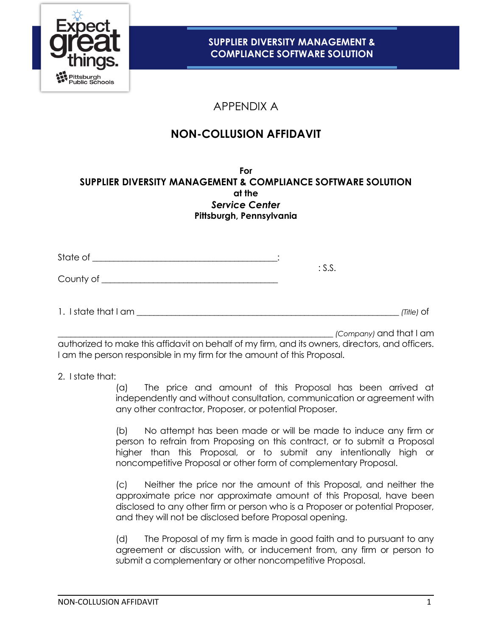

# APPENDIX A

# **NON-COLLUSION AFFIDAVIT**

**For SUPPLIER DIVERSITY MANAGEMENT & COMPLIANCE SOFTWARE SOLUTION at the** *Service Center* **Pittsburgh, Pennsylvania**

| State of                       |        |              |
|--------------------------------|--------|--------------|
| County of $\rule{1em}{0.15mm}$ | : S.S. |              |
| 1. I state that I am _         |        | $(Title)$ Of |

\_\_\_\_\_\_\_\_\_\_\_\_\_\_\_\_\_\_\_\_\_\_\_\_\_\_\_\_\_\_\_\_\_\_\_\_\_\_\_\_\_\_\_\_\_\_\_\_\_\_\_\_\_\_\_\_\_\_\_\_\_\_\_\_ *(Company)* and that I am

authorized to make this affidavit on behalf of my firm, and its owners, directors, and officers. I am the person responsible in my firm for the amount of this Proposal.

2. I state that:

(a) The price and amount of this Proposal has been arrived at independently and without consultation, communication or agreement with any other contractor, Proposer, or potential Proposer.

(b) No attempt has been made or will be made to induce any firm or person to refrain from Proposing on this contract, or to submit a Proposal higher than this Proposal, or to submit any intentionally high or noncompetitive Proposal or other form of complementary Proposal.

(c) Neither the price nor the amount of this Proposal, and neither the approximate price nor approximate amount of this Proposal, have been disclosed to any other firm or person who is a Proposer or potential Proposer, and they will not be disclosed before Proposal opening.

(d) The Proposal of my firm is made in good faith and to pursuant to any agreement or discussion with, or inducement from, any firm or person to submit a complementary or other noncompetitive Proposal.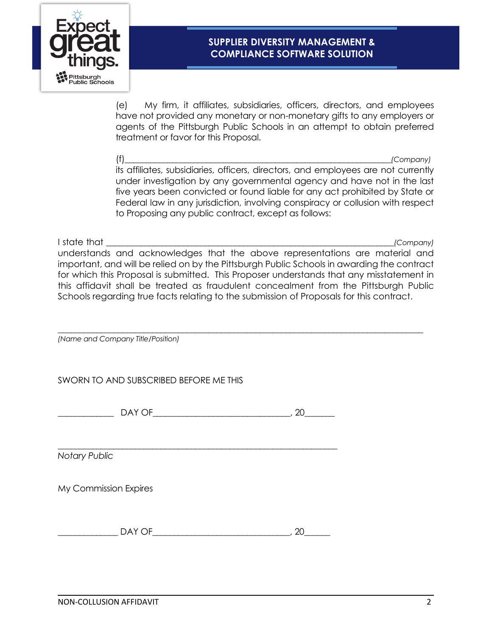

## **SUPPLIER DIVERSITY MANAGEMENT & COMPLIANCE SOFTWARE SOLUTION**

(e) My firm, it affiliates, subsidiaries, officers, directors, and employees have not provided any monetary or non-monetary gifts to any employers or agents of the Pittsburgh Public Schools in an attempt to obtain preferred treatment or favor for this Proposal.

(f)\_\_\_\_\_\_\_\_\_\_\_\_\_\_\_\_\_\_\_\_\_\_\_\_\_\_\_\_\_\_\_\_\_\_\_\_\_\_\_\_\_\_\_\_\_\_\_\_\_\_\_\_\_\_\_\_\_\_\_\_\_\_*(Company)* its affiliates, subsidiaries, officers, directors, and employees are not currently under investigation by any governmental agency and have not in the last five years been convicted or found liable for any act prohibited by State or Federal law in any jurisdiction, involving conspiracy or collusion with respect to Proposing any public contract, except as follows:

I state that \_\_\_\_\_\_\_\_\_\_\_\_\_\_\_\_\_\_\_\_\_\_\_\_\_\_\_\_\_\_\_\_\_\_\_\_\_\_\_\_\_\_\_\_\_\_\_\_\_\_\_\_\_\_\_\_\_\_\_\_\_\_\_\_\_\_\_*(Company)* understands and acknowledges that the above representations are material and important, and will be relied on by the Pittsburgh Public Schools in awarding the contract for which this Proposal is submitted. This Proposer understands that any misstatement in this affidavit shall be treated as fraudulent concealment from the Pittsburgh Public Schools regarding true facts relating to the submission of Proposals for this contract.

\_\_\_\_\_\_\_\_\_\_\_\_\_\_\_\_\_\_\_\_\_\_\_\_\_\_\_\_\_\_\_\_\_\_\_\_\_\_\_\_\_\_\_\_\_\_\_\_\_\_\_\_\_\_\_\_\_\_\_\_\_\_\_\_\_\_\_\_\_\_\_\_\_\_\_\_\_\_\_\_\_\_\_\_\_

*(Name and Company Title/Position)*

SWORN TO AND SUBSCRIBED BEFORE ME THIS

| £<br>. . |            |  |
|----------|------------|--|
|          |            |  |
|          | $  -$<br>- |  |

*Notary Public*

My Commission Expires

| _<br>-<br>$\overline{\phantom{a}}$ | ``<br>the contract of the contract of |
|------------------------------------|---------------------------------------|
|------------------------------------|---------------------------------------|

\_\_\_\_\_\_\_\_\_\_\_\_\_\_\_\_\_\_\_\_\_\_\_\_\_\_\_\_\_\_\_\_\_\_\_\_\_\_\_\_\_\_\_\_\_\_\_\_\_\_\_\_\_\_\_\_\_\_\_\_\_\_\_\_\_